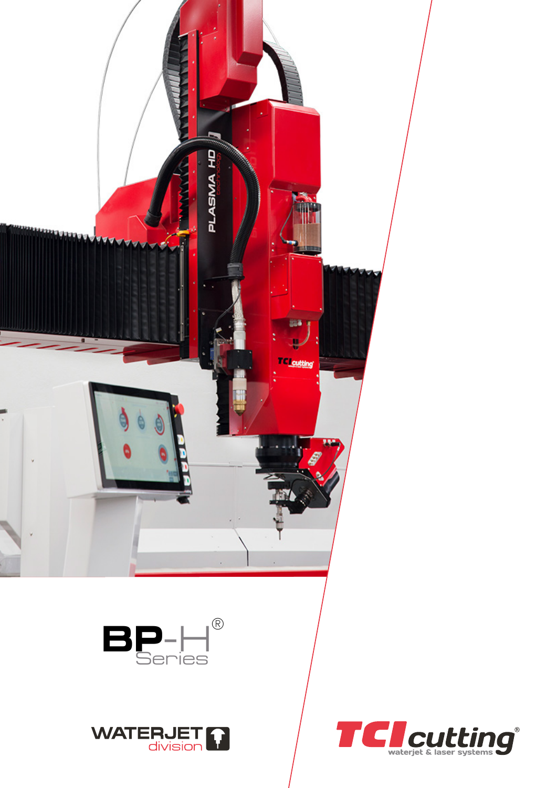

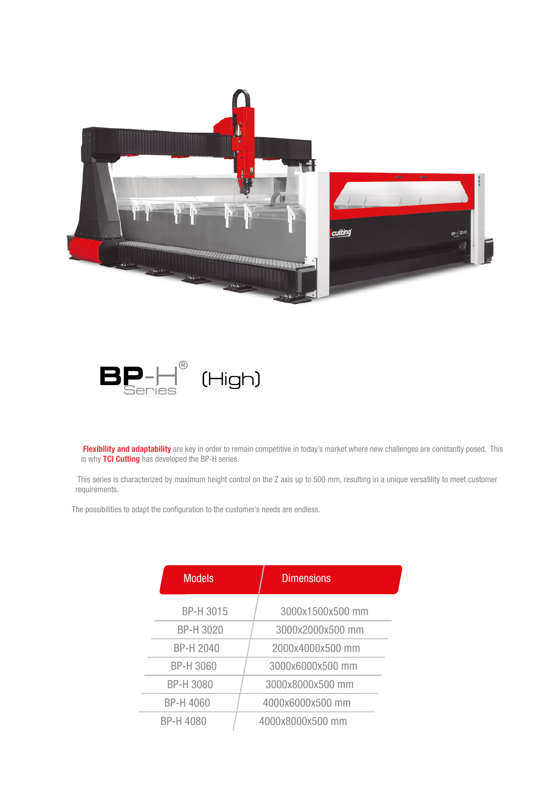



Flexibility and adaptability are key in order to remain competitive in today's market where new challenges are constantly posed. This is why TCI Cutting has developed the BP-H series.

This series is characterized by maximum height control on the Z axis up to 500 mm, resulting in a unique versatility to meet customer requirements.

The possibilities to adapt the configuration to the customer's needs are endless.

| <b>Models</b>    | <b>Dimensions</b> |
|------------------|-------------------|
| BP-H 3015        | 3000x1500x500 mm  |
| <b>BP-H 3020</b> | 3000x2000x500 mm  |
| <b>BP-H 2040</b> | 2000x4000x500 mm  |
| <b>BP-H 3060</b> | 3000x6000x500 mm  |
| <b>BP-H 3080</b> | 3000x8000x500 mm  |
| <b>BP-H 4060</b> | 4000x6000x500 mm  |
| BP-H 4080        | 4000x8000x500 mm  |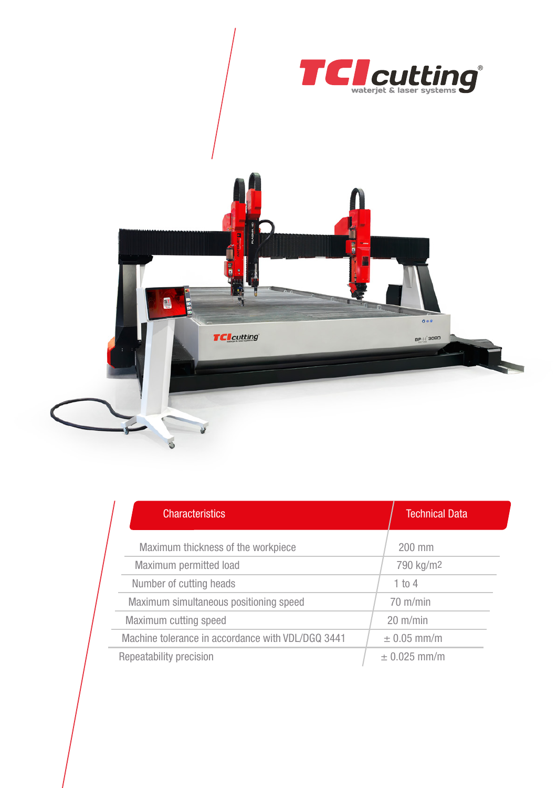



| <b>Characteristics</b>                            | <b>Technical Data</b> |
|---------------------------------------------------|-----------------------|
| Maximum thickness of the workpiece                | 200 mm                |
| Maximum permitted load                            | 790 kg/m <sup>2</sup> |
| Number of cutting heads                           | 1 to 4                |
| Maximum simultaneous positioning speed            | $70$ m/min            |
| Maximum cutting speed                             | $20 \text{ m/min}$    |
| Machine tolerance in accordance with VDL/DGQ 3441 | $\pm$ 0.05 mm/m       |
| Repeatability precision                           | $± 0.025$ mm/m        |